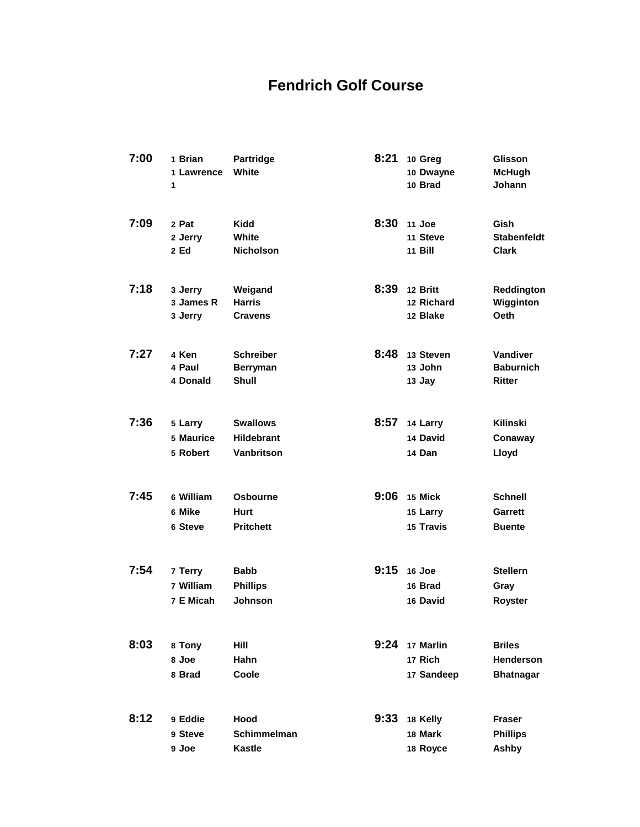## **Fendrich Golf Course**

| 7:00 | 1 Brian<br>1 Lawrence<br>1        | <b>Partridge</b><br>White                                 | 8:21 | 10 Greg<br>10 Dwayne<br>10 Brad         | <b>Glisson</b><br><b>McHugh</b><br>Johann             |
|------|-----------------------------------|-----------------------------------------------------------|------|-----------------------------------------|-------------------------------------------------------|
| 7:09 | 2 Pat<br>2 Jerry<br>2 Ed          | <b>Kidd</b><br>White<br><b>Nicholson</b>                  | 8:30 | 11 Joe<br>11 Steve<br>11 Bill           | Gish<br><b>Stabenfeldt</b><br><b>Clark</b>            |
| 7:18 | 3 Jerry<br>3 James R<br>3 Jerry   | Weigand<br><b>Harris</b><br><b>Cravens</b>                | 8:39 | 12 Britt<br>12 Richard<br>12 Blake      | Reddington<br>Wigginton<br><b>Oeth</b>                |
| 7:27 | 4 Ken<br>4 Paul<br>4 Donald       | <b>Schreiber</b><br><b>Berryman</b><br><b>Shull</b>       | 8:48 | 13 Steven<br>13 John<br>13 Jay          | Vandiver<br><b>Baburnich</b><br>Ritter                |
| 7:36 | 5 Larry<br>5 Maurice<br>5 Robert  | <b>Swallows</b><br><b>Hildebrant</b><br><b>Vanbritson</b> | 8:57 | 14 Larry<br>14 David<br>14 Dan          | <b>Kilinski</b><br>Conaway<br>Lloyd                   |
| 7:45 | 6 William<br>6 Mike<br>6 Steve    | <b>Osbourne</b><br>Hurt<br><b>Pritchett</b>               | 9:06 | 15 Mick<br>15 Larry<br>15 Travis        | <b>Schnell</b><br>Garrett<br><b>Buente</b>            |
| 7:54 | 7 Terry<br>7 William<br>7 E Micah | <b>Babb</b><br><b>Phillips</b><br><b>Johnson</b>          | 9:15 | 16 Joe<br>16 Brad<br>16 David           | <b>Stellern</b><br>Gray<br>Royster                    |
| 8:03 | 8 Tony<br>8 Joe<br>8 Brad         | Hill<br>Hahn<br>Coole                                     |      | 9:24 17 Marlin<br>17 Rich<br>17 Sandeep | <b>Briles</b><br><b>Henderson</b><br><b>Bhatnagar</b> |
| 8:12 | 9 Eddie<br>9 Steve<br>9 Joe       | Hood<br>Schimmelman<br>Kastle                             | 9:33 | 18 Kelly<br>18 Mark<br>18 Royce         | <b>Fraser</b><br><b>Phillips</b><br>Ashby             |